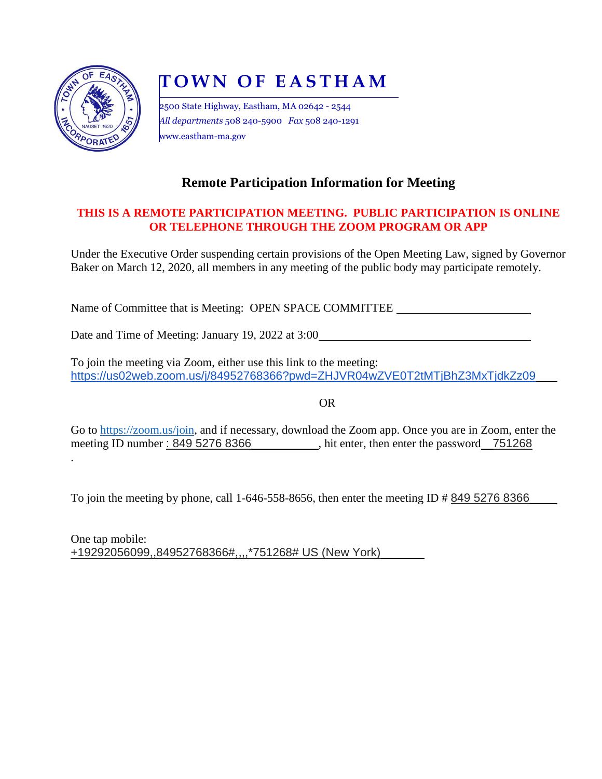

.

# **T O W N O F E A S T H A M**

2500 State Highway, Eastham, MA 02642 - 2544 *All departments* 508 240-5900 *Fax* 508 240-1291 www.eastham-ma.gov

## **Remote Participation Information for Meeting**

### **THIS IS A REMOTE PARTICIPATION MEETING. PUBLIC PARTICIPATION IS ONLINE OR TELEPHONE THROUGH THE ZOOM PROGRAM OR APP**

Under the Executive Order suspending certain provisions of the Open Meeting Law, signed by Governor Baker on March 12, 2020, all members in any meeting of the public body may participate remotely.

Name of Committee that is Meeting: OPEN SPACE COMMITTEE

Date and Time of Meeting: January 19, 2022 at 3:00

To join the meeting via Zoom, either use this link to the meeting: https://us02web.zoom.us/j/84952768366?pwd=ZHJVR04wZVE0T2tMTjBhZ3MxTjdkZz09

OR

Go to [https://zoom.us/join,](https://zoom.us/join) and if necessary, download the Zoom app. Once you are in Zoom, enter the meeting ID number: 849 5276 8366 , hit enter, then enter the password 751268

To join the meeting by phone, call 1-646-558-8656, then enter the meeting ID # 849 5276 8366

One tap mobile: +19292056099,,84952768366#,,,,\*751268# US (New York)